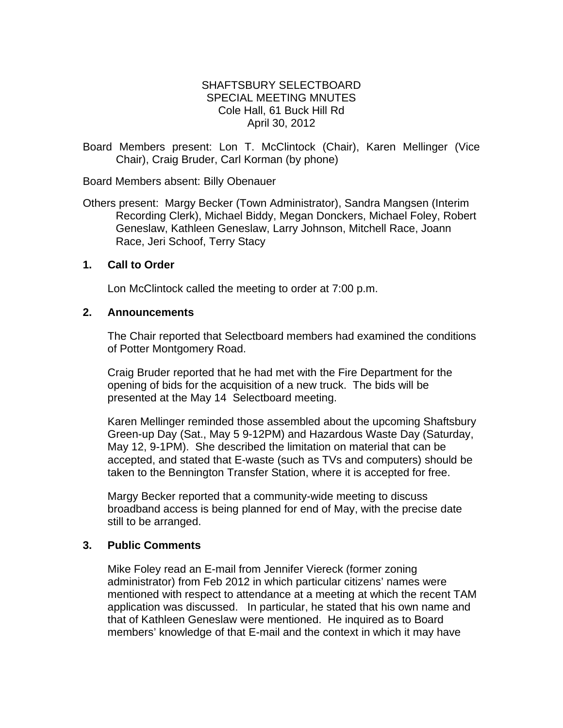# SHAFTSBURY SELECTBOARD SPECIAL MEETING MNUTES Cole Hall, 61 Buck Hill Rd April 30, 2012

Board Members present: Lon T. McClintock (Chair), Karen Mellinger (Vice Chair), Craig Bruder, Carl Korman (by phone)

Board Members absent: Billy Obenauer

Others present: Margy Becker (Town Administrator), Sandra Mangsen (Interim Recording Clerk), Michael Biddy, Megan Donckers, Michael Foley, Robert Geneslaw, Kathleen Geneslaw, Larry Johnson, Mitchell Race, Joann Race, Jeri Schoof, Terry Stacy

# **1. Call to Order**

Lon McClintock called the meeting to order at 7:00 p.m.

## **2. Announcements**

The Chair reported that Selectboard members had examined the conditions of Potter Montgomery Road.

Craig Bruder reported that he had met with the Fire Department for the opening of bids for the acquisition of a new truck. The bids will be presented at the May 14 Selectboard meeting.

Karen Mellinger reminded those assembled about the upcoming Shaftsbury Green-up Day (Sat., May 5 9-12PM) and Hazardous Waste Day (Saturday, May 12, 9-1PM). She described the limitation on material that can be accepted, and stated that E-waste (such as TVs and computers) should be taken to the Bennington Transfer Station, where it is accepted for free.

Margy Becker reported that a community-wide meeting to discuss broadband access is being planned for end of May, with the precise date still to be arranged.

# **3. Public Comments**

Mike Foley read an E-mail from Jennifer Viereck (former zoning administrator) from Feb 2012 in which particular citizens' names were mentioned with respect to attendance at a meeting at which the recent TAM application was discussed. In particular, he stated that his own name and that of Kathleen Geneslaw were mentioned. He inquired as to Board members' knowledge of that E-mail and the context in which it may have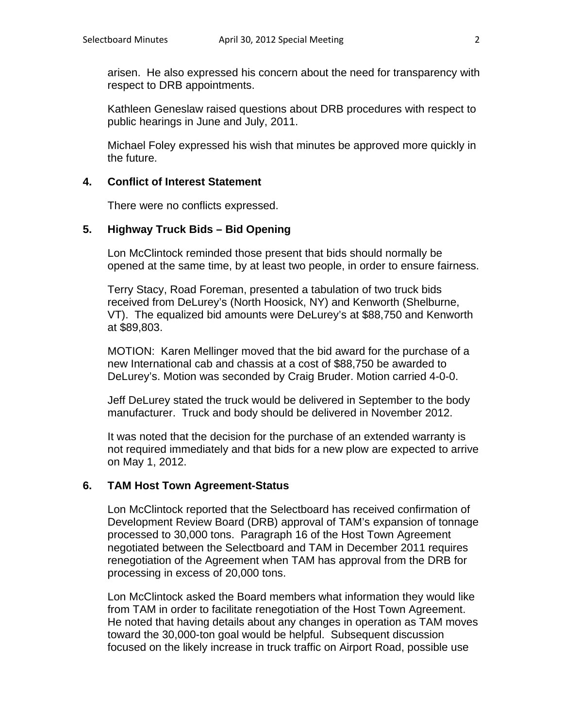arisen. He also expressed his concern about the need for transparency with respect to DRB appointments.

Kathleen Geneslaw raised questions about DRB procedures with respect to public hearings in June and July, 2011.

Michael Foley expressed his wish that minutes be approved more quickly in the future.

#### **4. Conflict of Interest Statement**

There were no conflicts expressed.

## **5. Highway Truck Bids – Bid Opening**

Lon McClintock reminded those present that bids should normally be opened at the same time, by at least two people, in order to ensure fairness.

Terry Stacy, Road Foreman, presented a tabulation of two truck bids received from DeLurey's (North Hoosick, NY) and Kenworth (Shelburne, VT). The equalized bid amounts were DeLurey's at \$88,750 and Kenworth at \$89,803.

MOTION: Karen Mellinger moved that the bid award for the purchase of a new International cab and chassis at a cost of \$88,750 be awarded to DeLurey's. Motion was seconded by Craig Bruder. Motion carried 4-0-0.

Jeff DeLurey stated the truck would be delivered in September to the body manufacturer. Truck and body should be delivered in November 2012.

It was noted that the decision for the purchase of an extended warranty is not required immediately and that bids for a new plow are expected to arrive on May 1, 2012.

## **6. TAM Host Town Agreement-Status**

Lon McClintock reported that the Selectboard has received confirmation of Development Review Board (DRB) approval of TAM's expansion of tonnage processed to 30,000 tons. Paragraph 16 of the Host Town Agreement negotiated between the Selectboard and TAM in December 2011 requires renegotiation of the Agreement when TAM has approval from the DRB for processing in excess of 20,000 tons.

Lon McClintock asked the Board members what information they would like from TAM in order to facilitate renegotiation of the Host Town Agreement. He noted that having details about any changes in operation as TAM moves toward the 30,000-ton goal would be helpful. Subsequent discussion focused on the likely increase in truck traffic on Airport Road, possible use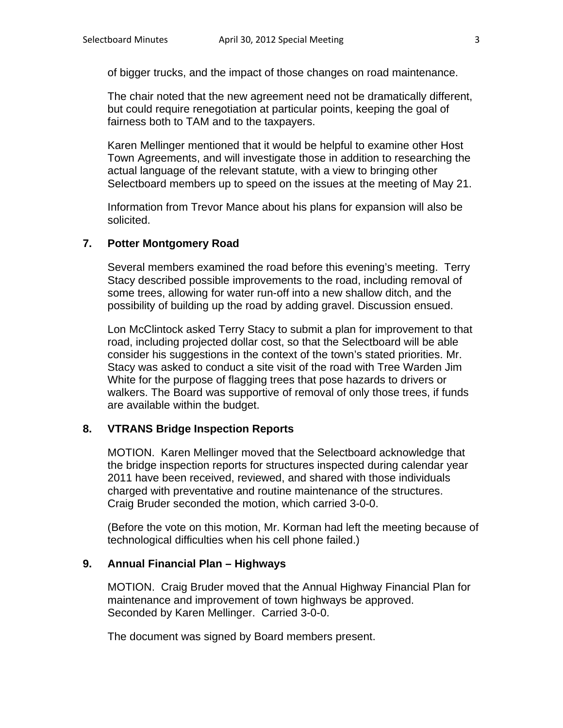of bigger trucks, and the impact of those changes on road maintenance.

The chair noted that the new agreement need not be dramatically different, but could require renegotiation at particular points, keeping the goal of fairness both to TAM and to the taxpayers.

Karen Mellinger mentioned that it would be helpful to examine other Host Town Agreements, and will investigate those in addition to researching the actual language of the relevant statute, with a view to bringing other Selectboard members up to speed on the issues at the meeting of May 21.

Information from Trevor Mance about his plans for expansion will also be solicited.

## **7. Potter Montgomery Road**

Several members examined the road before this evening's meeting. Terry Stacy described possible improvements to the road, including removal of some trees, allowing for water run-off into a new shallow ditch, and the possibility of building up the road by adding gravel. Discussion ensued.

Lon McClintock asked Terry Stacy to submit a plan for improvement to that road, including projected dollar cost, so that the Selectboard will be able consider his suggestions in the context of the town's stated priorities. Mr. Stacy was asked to conduct a site visit of the road with Tree Warden Jim White for the purpose of flagging trees that pose hazards to drivers or walkers. The Board was supportive of removal of only those trees, if funds are available within the budget.

## **8. VTRANS Bridge Inspection Reports**

MOTION. Karen Mellinger moved that the Selectboard acknowledge that the bridge inspection reports for structures inspected during calendar year 2011 have been received, reviewed, and shared with those individuals charged with preventative and routine maintenance of the structures. Craig Bruder seconded the motion, which carried 3-0-0.

(Before the vote on this motion, Mr. Korman had left the meeting because of technological difficulties when his cell phone failed.)

#### **9. Annual Financial Plan – Highways**

MOTION. Craig Bruder moved that the Annual Highway Financial Plan for maintenance and improvement of town highways be approved. Seconded by Karen Mellinger. Carried 3-0-0.

The document was signed by Board members present.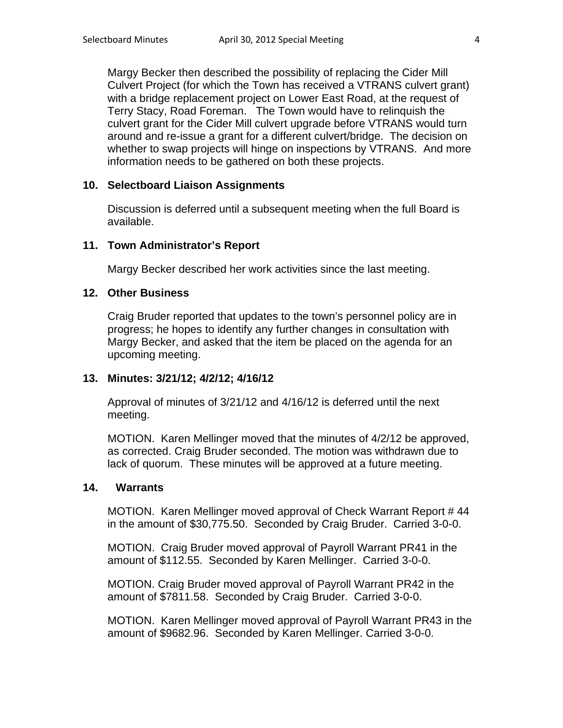Margy Becker then described the possibility of replacing the Cider Mill Culvert Project (for which the Town has received a VTRANS culvert grant) with a bridge replacement project on Lower East Road, at the request of Terry Stacy, Road Foreman. The Town would have to relinquish the culvert grant for the Cider Mill culvert upgrade before VTRANS would turn around and re-issue a grant for a different culvert/bridge. The decision on whether to swap projects will hinge on inspections by VTRANS. And more information needs to be gathered on both these projects.

## **10. Selectboard Liaison Assignments**

Discussion is deferred until a subsequent meeting when the full Board is available.

## **11. Town Administrator's Report**

Margy Becker described her work activities since the last meeting.

## **12. Other Business**

Craig Bruder reported that updates to the town's personnel policy are in progress; he hopes to identify any further changes in consultation with Margy Becker, and asked that the item be placed on the agenda for an upcoming meeting.

## **13. Minutes: 3/21/12; 4/2/12; 4/16/12**

Approval of minutes of 3/21/12 and 4/16/12 is deferred until the next meeting.

MOTION. Karen Mellinger moved that the minutes of 4/2/12 be approved, as corrected. Craig Bruder seconded. The motion was withdrawn due to lack of quorum. These minutes will be approved at a future meeting.

## **14. Warrants**

MOTION. Karen Mellinger moved approval of Check Warrant Report # 44 in the amount of \$30,775.50. Seconded by Craig Bruder. Carried 3-0-0.

MOTION. Craig Bruder moved approval of Payroll Warrant PR41 in the amount of \$112.55. Seconded by Karen Mellinger. Carried 3-0-0.

MOTION. Craig Bruder moved approval of Payroll Warrant PR42 in the amount of \$7811.58. Seconded by Craig Bruder. Carried 3-0-0.

MOTION. Karen Mellinger moved approval of Payroll Warrant PR43 in the amount of \$9682.96. Seconded by Karen Mellinger. Carried 3-0-0.